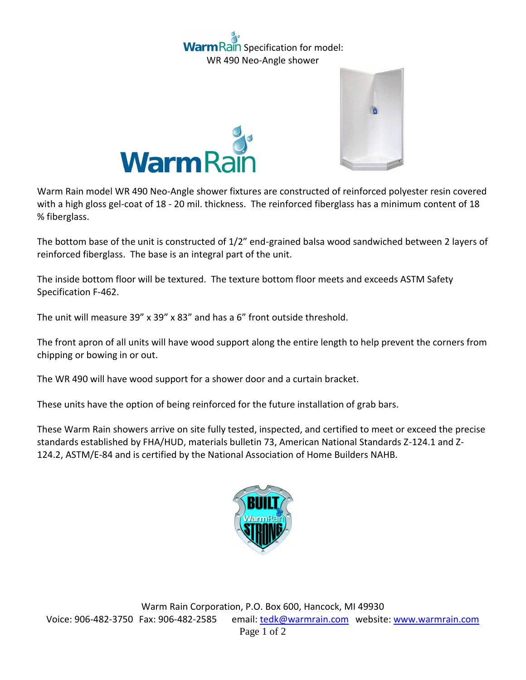## ain Specification for model: WR 490 Neo-Angle shower





Warm Rain model WR 490 Neo-Angle shower fixtures are constructed of reinforced polyester resin covered with a high gloss gel-coat of 18 - 20 mil. thickness. The reinforced fiberglass has a minimum content of 18 % fiberglass.

The bottom base of the unit is constructed of 1/2" end-grained balsa wood sandwiched between 2 layers of reinforced fiberglass. The base is an integral part of the unit.

The inside bottom floor will be textured. The texture bottom floor meets and exceeds ASTM Safety Specification F-462.

The unit will measure 39" x 39" x 83" and has a 6" front outside threshold.

The front apron of all units will have wood support along the entire length to help prevent the corners from chipping or bowing in or out.

The WR 490 will have wood support for a shower door and a curtain bracket.

These units have the option of being reinforced for the future installation of grab bars.

These Warm Rain showers arrive on site fully tested, inspected, and certified to meet or exceed the precise standards established by FHA/HUD, materials bulletin 73, American National Standards Z-124.1 and Z-124.2, ASTM/E-84 and is certified by the National Association of Home Builders NAHB.